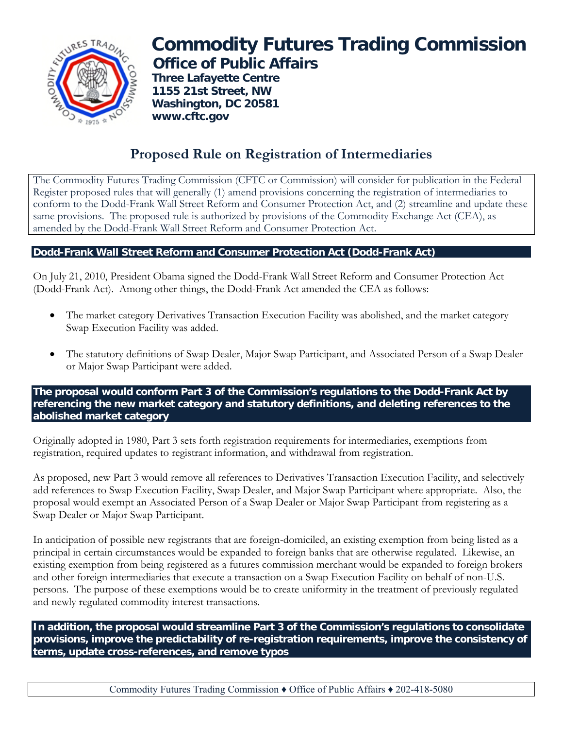

## **Commodity Futures Trading Commission Office of Public Affairs**

 **Three Lafayette Centre 1155 21st Street, NW Washington, DC 20581 www.cftc.gov**

## **Proposed Rule on Registration of Intermediaries**

The Commodity Futures Trading Commission (CFTC or Commission) will consider for publication in the Federal Register proposed rules that will generally (1) amend provisions concerning the registration of intermediaries to conform to the Dodd-Frank Wall Street Reform and Consumer Protection Act, and (2) streamline and update these same provisions. The proposed rule is authorized by provisions of the Commodity Exchange Act (CEA), as amended by the Dodd-Frank Wall Street Reform and Consumer Protection Act.

## **Dodd-Frank Wall Street Reform and Consumer Protection Act (Dodd-Frank Act)**

On July 21, 2010, President Obama signed the Dodd-Frank Wall Street Reform and Consumer Protection Act (Dodd-Frank Act). Among other things, the Dodd-Frank Act amended the CEA as follows:

- The market category Derivatives Transaction Execution Facility was abolished, and the market category Swap Execution Facility was added.
- The statutory definitions of Swap Dealer, Major Swap Participant, and Associated Person of a Swap Dealer or Major Swap Participant were added.

**The proposal would conform Part 3 of the Commission's regulations to the Dodd-Frank Act by referencing the new market category and statutory definitions, and deleting references to the abolished market category** 

Originally adopted in 1980, Part 3 sets forth registration requirements for intermediaries, exemptions from registration, required updates to registrant information, and withdrawal from registration.

As proposed, new Part 3 would remove all references to Derivatives Transaction Execution Facility, and selectively add references to Swap Execution Facility, Swap Dealer, and Major Swap Participant where appropriate. Also, the proposal would exempt an Associated Person of a Swap Dealer or Major Swap Participant from registering as a Swap Dealer or Major Swap Participant.

In anticipation of possible new registrants that are foreign-domiciled, an existing exemption from being listed as a principal in certain circumstances would be expanded to foreign banks that are otherwise regulated. Likewise, an existing exemption from being registered as a futures commission merchant would be expanded to foreign brokers and other foreign intermediaries that execute a transaction on a Swap Execution Facility on behalf of non-U.S. persons. The purpose of these exemptions would be to create uniformity in the treatment of previously regulated and newly regulated commodity interest transactions.

**In addition, the proposal would streamline Part 3 of the Commission's regulations to consolidate provisions, improve the predictability of re-registration requirements, improve the consistency of terms, update cross-references, and remove typos** 

Commodity Futures Trading Commission ♦ Office of Public Affairs ♦ 202-418-5080